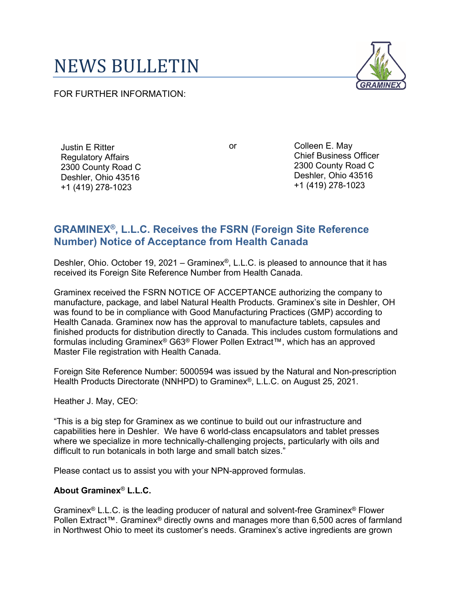## NEWS BULLETIN

FOR FURTHER INFORMATION:



Justin E Ritter Regulatory Affairs 2300 County Road C Deshler, Ohio 43516 +1 (419) 278-1023

or Colleen E. May Chief Business Officer 2300 County Road C Deshler, Ohio 43516 +1 (419) 278-1023

## **GRAMINEX®, L.L.C. Receives the FSRN (Foreign Site Reference Number) Notice of Acceptance from Health Canada**

Deshler, Ohio. October 19, 2021 – Graminex®, L.L.C. is pleased to announce that it has received its Foreign Site Reference Number from Health Canada.

Graminex received the FSRN NOTICE OF ACCEPTANCE authorizing the company to manufacture, package, and label Natural Health Products. Graminex's site in Deshler, OH was found to be in compliance with Good Manufacturing Practices (GMP) according to Health Canada. Graminex now has the approval to manufacture tablets, capsules and finished products for distribution directly to Canada. This includes custom formulations and formulas including Graminex® G63® Flower Pollen Extract™, which has an approved Master File registration with Health Canada.

Foreign Site Reference Number: 5000594 was issued by the Natural and Non-prescription Health Products Directorate (NNHPD) to Graminex®, L.L.C. on August 25, 2021.

Heather J. May, CEO:

"This is a big step for Graminex as we continue to build out our infrastructure and capabilities here in Deshler. We have 6 world-class encapsulators and tablet presses where we specialize in more technically-challenging projects, particularly with oils and difficult to run botanicals in both large and small batch sizes."

Please contact us to assist you with your NPN-approved formulas.

## **About Graminex**® **L.L.C.**

Graminex® L.L.C. is the leading producer of natural and solvent-free Graminex® Flower Pollen Extract™. Graminex<sup>®</sup> directly owns and manages more than 6,500 acres of farmland in Northwest Ohio to meet its customer's needs. Graminex's active ingredients are grown